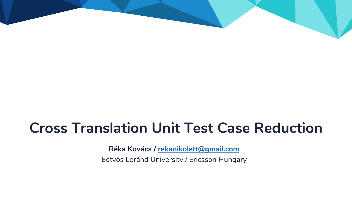# **Cross Translation Unit Test Case Reduction**

**Réka Kovács / [rekanikolett@gmail.com](mailto:rekanikolett@gmail.com)** Eötvös Loránd University / Ericsson Hungary

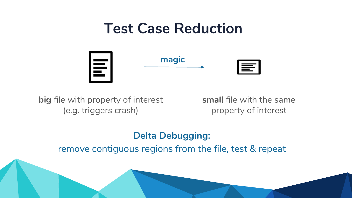



## **big** file with property of interest (e.g. triggers crash)

## **small** file with the same property of interest



## **magic**



## **Delta Debugging:** remove contiguous regions from the file, test & repeat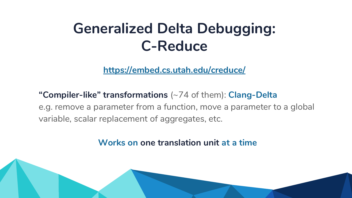# **Generalized Delta Debugging: C-Reduce**

**"Compiler-like" transformations** (~74 of them): **Clang-Delta** e.g. remove a parameter from a function, move a parameter to a global variable, scalar replacement of aggregates, etc.

**https://embed.cs.utah.edu/creduce/**



**Works on one translation unit at a time**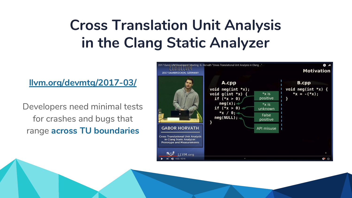# **Cross Translation Unit Analysis in the Clang Static Analyzer**

Developers need minimal tests for crashes and bugs that range **across TU boundaries**



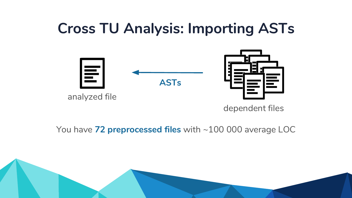# **Cross TU Analysis: Importing ASTs**



## analyzed file

### dependent files



## You have **72 preprocessed files** with ~100 000 average LOC

**ASTs**



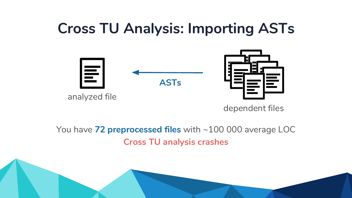# **Cross TU Analysis: Importing ASTs**



analyzed file





### dependent files

## You have **72 preprocessed files** with ~100 000 average LOC **Cross TU analysis crashes**



**ASTs**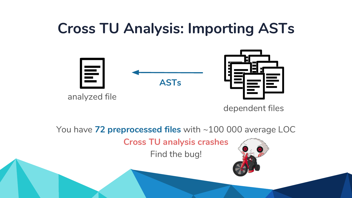# **Cross TU Analysis: Importing ASTs**



analyzed file



### dependent files

You have **72 preprocessed files** with ~100 000 average LOC **Cross TU analysis crashes** Find the bug!



**ASTs**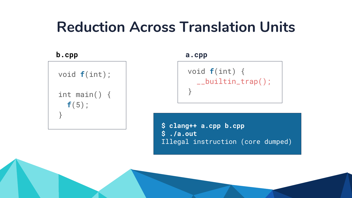```
 void f(int) {
    __builtin_trap();
 }
```
void **f**(int);

 int main() { **f**(5); }



### **b.cpp a.cpp**

**\$ clang++ a.cpp b.cpp \$ ./a.out** Illegal instruction (core dumped)

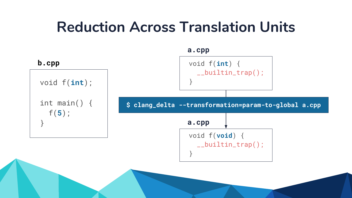

void f(**int**); }

 int main() { f(**5**); }

### **b.cpp**

### **a.cpp**

 void f(**void**) { \_\_builtin\_trap(); } **a.cpp**



### **\$ clang\_delta --transformation=param-to-global a.cpp**

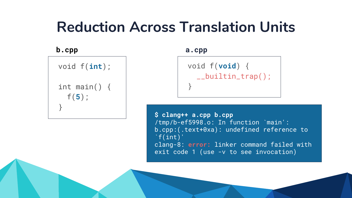### **b.cpp a.cpp**

```
$ clang++ a.cpp b.cpp
/tmp/b-ef5998.o: In function `main':
b.cpp:(.text+0xa): undefined reference to
\hat{}f(int)'clang-8: error: linker command failed with 
exit code 1 (use -v to see invocation)
```


 void f(**int**); int main() { f(**5**); }

```
 void f(void) {
    __builtin_trap();
 }
```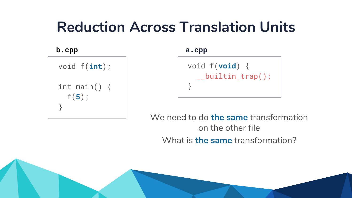```
 void f(void) {
     __builtin_trap();
 }
```
### **b.cpp a.cpp**

## We need to do **the same** transformation on the other file What is **the same** transformation?



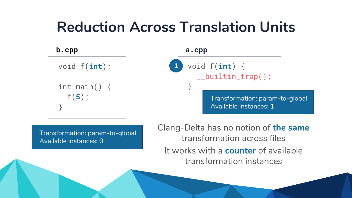```
 void f(int);
  int main() {
     f(5);
 }
```
### **b.cpp a.cpp**

Clang-Delta has no notion of **the same** transformation across files It works with a **counter** of available transformation instances





Transformation: param-to-global Available instances: 0



Transformation: param-to-global Available instances: 1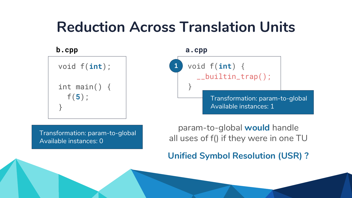

### **b.cpp a.cpp**

param-to-global **would** handle all uses of f() if they were in one TU



**Unified Symbol Resolution (USR) ?**



Transformation: param-to-global Available instances: 0



Transformation: param-to-global Available instances: 1